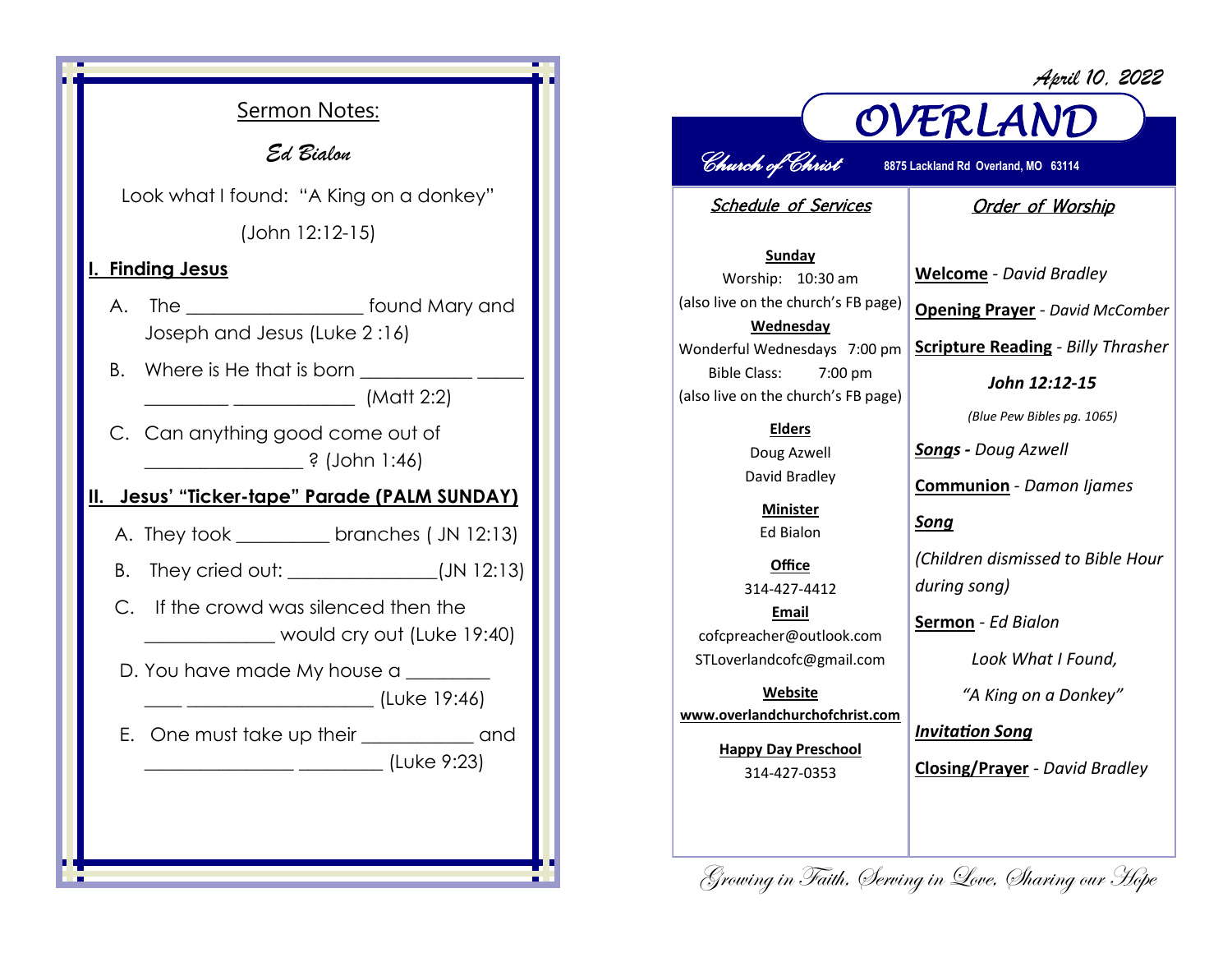*April 10, 2022*



## *OVERLAND Church of Christ* **8875 Lackland Rd Overland, MO 63114**

Schedule of Services

## Order of Worship

**Sunday** Worship: 10:30 am (also live on the church's FB page) **Wednesday** Wonderful Wednesdays 7:00 pm Bible Class: 7:00 pm (also live on the church's FB page)

> **Elders** Doug Azwell David Bradley

**Minister** Ed Bialon

**Office** 314-427-4412 **Email** cofcpreacher@outlook.com STLoverlandcofc@gmail.com

**Website www.overlandchurchofchrist.com**

> **Happy Day Preschool** 314-427-0353

**Welcome** *- David Bradley* **Opening Prayer** *- David McComber*

**Scripture Reading** *- Billy Thrasher* 

*John 12:12-15*

*(Blue Pew Bibles pg. 1065)*

*Songs - Doug Azwell*

**Communion** *- Damon Ijames*

*Song*

*(Children dismissed to Bible Hour during song)*

**Sermon** *- Ed Bialon*

*Look What I Found,* 

*"A King on a Donkey"*

*Invitation Song*

**Closing/Prayer** *- David Bradley*

Growing in Faith, Serving in Love, Sharing our Hope